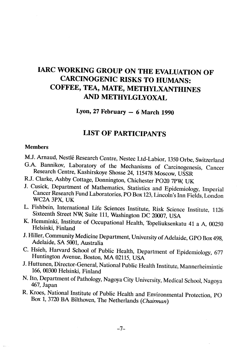# IARC WORKING GROUP ON THE EVALUATION OF CARCINOGENIC RISKS TO HUMANS: COFFEE, TEA, MATE, METHYLXANTHINES AND METHYLGLYOXAL

Lyon, 27 February  $-6$  March 1990

# LIST OF PARTICIPANTS

## **Members**

- M.J. Arnaud, Nestlé Research Centre, Nestec Ltd-Labior, 1350 Orbe, Switzerland
- G.A. Bannikov, Laboratory of the Mechanisms of Carcinogenesis, Cancer Research Centre, Kashirskoye Shosse 24, 115478 Moscow, USSR
- R.J. Clarke, Ashby Cottage, Donnington, Chichester PO20 7PW, UK
- J. Cusick, Department of Mathematics, Statistics and Epidemiology, Imperial Cancer Research Fund Laboratories, PO Box 123, Lincoln's Inn Fields, London WC2A 3PX, UK
- L. Fishbein, International Life Sciences Institute, Risk Science Institute, 1126 Sixteenth Street NW, Suite 111, Washington DC 20007, USA
- K. Hemminki, Institute of Occupational Health, Topeliuksenkatu 41 a A, 00250 Helsinki, Finland
- J. Hiler, Community Medicine Department, University of Adelaide, GPO Box 498, Adelaide, SA 5001, Australia
- C. Hsieh, Harvard School of Public Health, Department of Epidemiology, 677 Huntington Avenue, Boston, MA 02115, USA
- J. Huttunen, Director-General, National Public Health Institute, Mannerheimintie 166, 00300 Helsinki, Finland
- N. Ho, Department of Pathology, Nagoya City University, Medical School, Nagoya 467, Japan
- R. Kroes, National Institute of Public Health and Environmental Protection, PO Box 1, 3720 BA Bilthoven, The Netherlands (Chairman)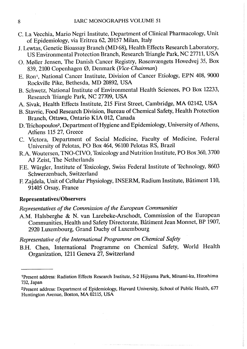- C. La Vecchia, Mario Negri Institute, Department of Clinical Pharmacology, Unit of Epidemiology, via Eritrea 62, 20157 Milan, Italy
- J. Lewtas, Genetic Bioassay Branch (MD 68), Health Effects Research Laboratory, US Environmental Protection Branch, Research Triangle Park, NC 27711, USA
- O. Møller Jensen, The Danish Cancer Registry, Rosenvængets Hovedvej 35, Box 839, 2100 Copenhagen Ø, Denmark (Vice-Chairman)
- E. Ron<sup>1</sup>, National Cancer Institute, Division of Cancer Etiology, EPN 408, 9000 Rockvile Pike, Bethesda, MD 20892, USA
- B. Schwetz, National Institute of Environmental Health Sciences, PO Box 12233, Research Triangle Park, NC 27709, USA
- A. Sivak, Health Effects Institute, 215 First Street, Cambridge, MA 02142, USA
- B. Stavric, Food Research Division, Bureau of Chemical Safety, Health Protection Branch, Ottawa, Ontario KIA 012, Canada
- D. Trichopoulos2, Department of Hygiene and Epidemiology, University of Athens, Athens 115 27, Greece
- C. Victora, Department of Social Medicine, Faculty of Medicine, Federal University of Pelotas, PO Box 464, 96100 Pelotas RS, Brazil
- R.A. Woutersen, TNO-CIYO, Toxicology and Nutrition Institute, PO Box 360,3700 Al Zeist, The Netherlands
- FE. Würgler, Institute of Toxicology, Swiss Federal Institute of Technology, 8603 Schwerzenbach, Switzerland
- F Zajdela, Unit of Cellular Physiology, INSERM, Radium Institute, Bâtiment 110, 91405 Orsay, France

## Representatives/Observers

Representatives of the Commission of the European Communities

A.M. Halsberghe & N. van Larebeke-Arschodt, Commission of the European Communities, Health and Safety Directorate, Bâtiment Jean Monnet, BP 1907, 2920 Luxembourg, Grand Duchy of Luxembourg

Representative of the International Programme on Chemical Safety

B.H. Chen, International Programme on Chemical Safety, World Health Organization, 1211 Geneva 27, Switzerland

<sup>1</sup> Present address: Radiation Effects Research Institute, 5-2 Hijiyama Park, Minami-ku, Hiroshima 732, Japan

<sup>2</sup>Present address: Department of Epidemiology, Harard University, School of Public Health, 677 Huntington Avenue, Boton, MA 02115, USA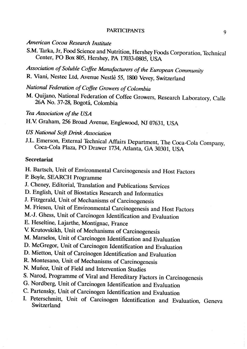#### PARTICIPANTS 9

# American Cocoa Research Institute

S.M. Tarka, Jr, Food Science and Nutrition, Hershey Foods Corporation, Technical Center, PO Box 805, Hershey, PA 17033-0805, USA

Association of Soluble Coffee Manufacturers of the European Community R. Viani, Nestec Ltd, Avenue Nestlé 55, 1800 Vevey, Switzerland

National Federation of Coffee Growers of Colombia

M. Quijano, National Federation of Coffee Growers, Research Laboratory, Calle 26A No. 37-28, Bogotá, Colombia

Tea Association of the USA

H.V. Graham, 256 Broad Avenue, Englewood, NJ 07631, USA

## US National Soft Drink Association

J.L. Emerson, External Technical Affairs Department, The Coca-Cola Company, Coca-Cola Plaza, PO Drawer 1734, Atlanta, GA 30301, USA

### Secretariat

H. Bartsch, Unit of Environmental Carcinogenesis and Host Factors P. Boyle, SEARCH Programme

J. Cheney, Editorial, Translation and Publications Services

D. English, Unit of Biostatics Research and Informatics

J. Fitzgerald, Unit of Mechanisms of Carcinogenesis

M. Friesen, Unit of Environmental Carcinogenesis and Host Factors

M.-J. Ghess, Unit of Carcinogen Identification and Evaluation

E. Heseltine, Lajarthe, Montignac, France

V. Krutovskikh, Unit of Mechanisms of Carcinogenesis

M. Marselos, Unit of Carcinogen Identification and Evaluation

D. McGregor, Unit of Carcinogen Identification and Evaluation

D. Mietton, Unit of Carcinogen Identification and Evaluation

R. Montesano, Unit of Mechanisms of Carcinogenesis

N. Muñoz, Unit of Field and Intervention Studies

S. Narod, Programme of Viral and Hereditary Factors in Carcinogenesis

G. Nordberg, Unit of Carcinogen Identification and Evaluation

- C. Partensky, Unit of Carcinogen Identification and Evaluation
- 1. Peterschmitt, Unit of Carcinogen Identification and Evaluation, Geneva Switzerland